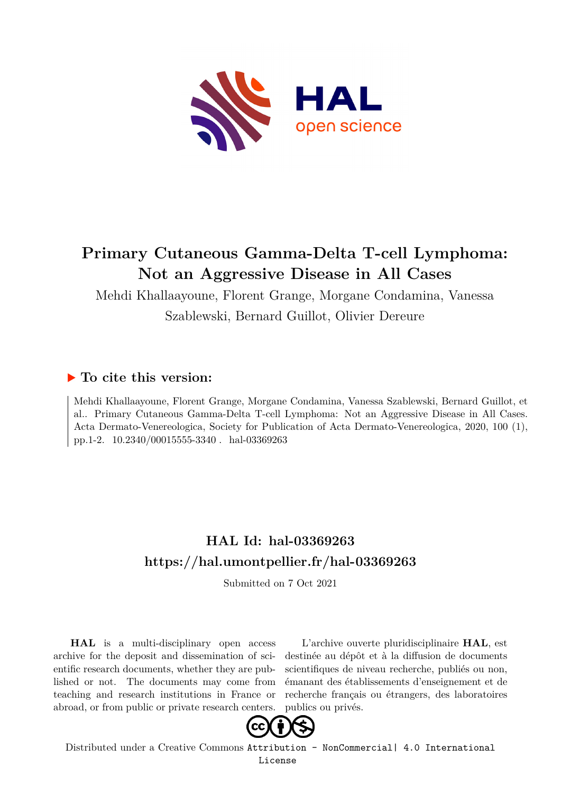

# **Primary Cutaneous Gamma-Delta T-cell Lymphoma: Not an Aggressive Disease in All Cases**

Mehdi Khallaayoune, Florent Grange, Morgane Condamina, Vanessa Szablewski, Bernard Guillot, Olivier Dereure

## **To cite this version:**

Mehdi Khallaayoune, Florent Grange, Morgane Condamina, Vanessa Szablewski, Bernard Guillot, et al.. Primary Cutaneous Gamma-Delta T-cell Lymphoma: Not an Aggressive Disease in All Cases. Acta Dermato-Venereologica, Society for Publication of Acta Dermato-Venereologica, 2020, 100 (1), pp.1-2. 10.2340/00015555-3340. hal-03369263

## **HAL Id: hal-03369263 <https://hal.umontpellier.fr/hal-03369263>**

Submitted on 7 Oct 2021

**HAL** is a multi-disciplinary open access archive for the deposit and dissemination of scientific research documents, whether they are published or not. The documents may come from teaching and research institutions in France or abroad, or from public or private research centers.

L'archive ouverte pluridisciplinaire **HAL**, est destinée au dépôt et à la diffusion de documents scientifiques de niveau recherche, publiés ou non, émanant des établissements d'enseignement et de recherche français ou étrangers, des laboratoires publics ou privés.



Distributed under a Creative Commons [Attribution - NonCommercial| 4.0 International](http://creativecommons.org/licenses/by-nc/4.0/) [License](http://creativecommons.org/licenses/by-nc/4.0/)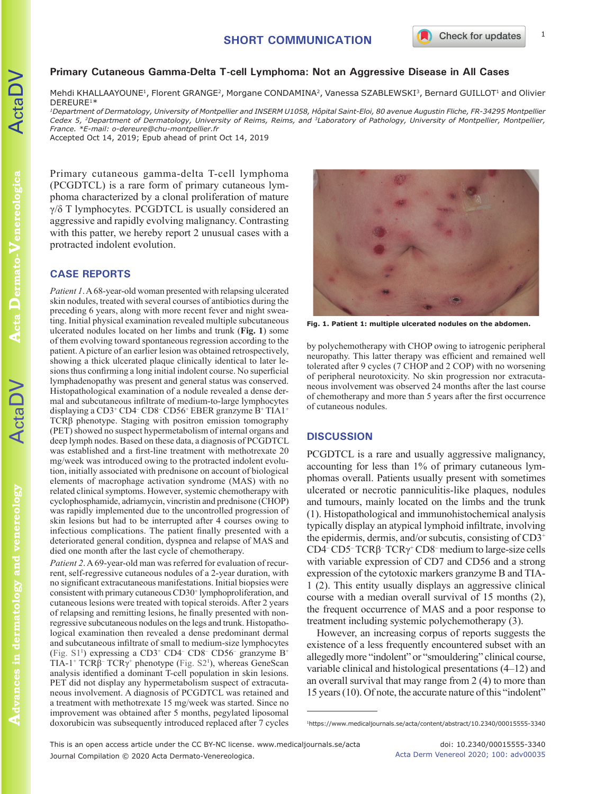Mehdi KHALLAAYOUNE<sup>1</sup>, Florent GRANGE<sup>2</sup>, Morgane CONDAMINA<sup>2</sup>, Vanessa SZABLEWSKI<sup>3</sup>, Bernard GUILLOT<sup>1</sup> and Olivier DEREURE1\*

*1Department of Dermatology, University of Montpellier and INSERM U1058, Hôpital Saint-Eloi, 80 avenue Augustin Fliche, FR-34295 Montpellier Cedex 5, 2Department of Dermatology, University of Reims, Reims, and 3Laboratory of Pathology, University of Montpellier, Montpellier, France. \*E-mail: o-dereure@chu-montpellier.fr*

Accepted Oct 14, 2019; Epub ahead of print Oct 14, 2019

Primary cutaneous gamma-delta T-cell lymphoma (PCGDTCL) is a rare form of primary cutaneous lymphoma characterized by a clonal proliferation of mature γ/δ T lymphocytes. PCGDTCL is usually considered an aggressive and rapidly evolving malignancy. Contrasting with this patter, we hereby report 2 unusual cases with a protracted indolent evolution.

### **CASE REPORTS**

*Patient 1*. A 68-year-old woman presented with relapsing ulcerated skin nodules, treated with several courses of antibiotics during the preceding 6 years, along with more recent fever and night sweating. Initial physical examination revealed multiple subcutaneous ulcerated nodules located on her limbs and trunk (**Fig. 1**) some of them evolving toward spontaneous regression according to the patient. A picture of an earlier lesion was obtained retrospectively, showing a thick ulcerated plaque clinically identical to later lesions thus confirming a long initial indolent course. No superficial lymphadenopathy was present and general status was conserved. Histopathological examination of a nodule revealed a dense dermal and subcutaneous infiltrate of medium-to-large lymphocytes displaying a CD3+ CD4- CD8- CD56+ EBER granzyme B+ TIA1+ TCRβ phenotype. Staging with positron emission tomography (PET) showed no suspect hypermetabolism of internal organs and deep lymph nodes. Based on these data, a diagnosis of PCGDTCL was established and a first-line treatment with methotrexate 20 mg/week was introduced owing to the protracted indolent evolution, initially associated with prednisone on account of biological elements of macrophage activation syndrome (MAS) with no related clinical symptoms. However, systemic chemotherapy with cyclophosphamide, adriamycin, vincristin and prednisone (CHOP) was rapidly implemented due to the uncontrolled progression of skin lesions but had to be interrupted after 4 courses owing to infectious complications. The patient finally presented with a deteriorated general condition, dyspnea and relapse of MAS and died one month after the last cycle of chemotherapy.

*Patient 2*. A 69-year-old man was referred for evaluation of recurrent, self-regressive cutaneous nodules of a 2-year duration, with no significant extracutaneous manifestations. Initial biopsies were consistent with primary cutaneous CD30<sup>+</sup> lymphoproliferation, and cutaneous lesions were treated with topical steroids. After 2 years of relapsing and remitting lesions, he finally presented with nonregressive subcutaneous nodules on the legs and trunk. Histopathological examination then revealed a dense predominant dermal and subcutaneous infiltrate of small to medium-size lymphocytes (Fig.  $S1<sup>1</sup>$ ) expressing a CD3<sup>+</sup> CD4<sup>-</sup> CD8<sup>-</sup> CD56<sup>-</sup> granzyme B<sup>+</sup> TIA-1<sup>+</sup> TCR $\beta$ <sup>-</sup> TCR $\gamma$ <sup>+</sup> phenotype (Fig. S2<sup>1</sup>), whereas GeneScan analysis identified a dominant T-cell population in skin lesions. PET did not display any hypermetabolism suspect of extracutaneous involvement. A diagnosis of PCGDTCL was retained and a treatment with methotrexate 15 mg/week was started. Since no improvement was obtained after 5 months, pegylated liposomal doxorubicin was subsequently introduced replaced after 7 cycles



**Fig. 1. Patient 1: multiple ulcerated nodules on the abdomen.**

by polychemotherapy with CHOP owing to iatrogenic peripheral neuropathy. This latter therapy was efficient and remained well tolerated after 9 cycles (7 CHOP and 2 COP) with no worsening of peripheral neurotoxicity. No skin progression nor extracutaneous involvement was observed 24 months after the last course of chemotherapy and more than 5 years after the first occurrence of cutaneous nodules.

### **DISCUSSION**

PCGDTCL is a rare and usually aggressive malignancy, accounting for less than 1% of primary cutaneous lymphomas overall. Patients usually present with sometimes ulcerated or necrotic panniculitis-like plaques, nodules and tumours, mainly located on the limbs and the trunk (1). Histopathological and immunohistochemical analysis typically display an atypical lymphoid infiltrate, involving the epidermis, dermis, and/or subcutis, consisting of CD3<sup>+</sup> CD4<sup>-</sup> CD5<sup>-</sup> TCRβ<sup>-</sup> TCRγ<sup>+</sup> CD8<sup>-</sup> medium to large-size cells with variable expression of CD7 and CD56 and a strong expression of the cytotoxic markers granzyme B and TIA-1 (2). This entity usually displays an aggressive clinical course with a median overall survival of 15 months (2), the frequent occurrence of MAS and a poor response to treatment including systemic polychemotherapy (3).

However, an increasing corpus of reports suggests the existence of a less frequently encountered subset with an allegedly more "indolent" or "smouldering" clinical course, variable clinical and histological presentations (4–12) and an overall survival that may range from 2 (4) to more than 15 years (10). Of note, the accurate nature of this "indolent"

<sup>1</sup>https://www.medicaljournals.se/acta/content/abstract/10.2340/00015555-3340